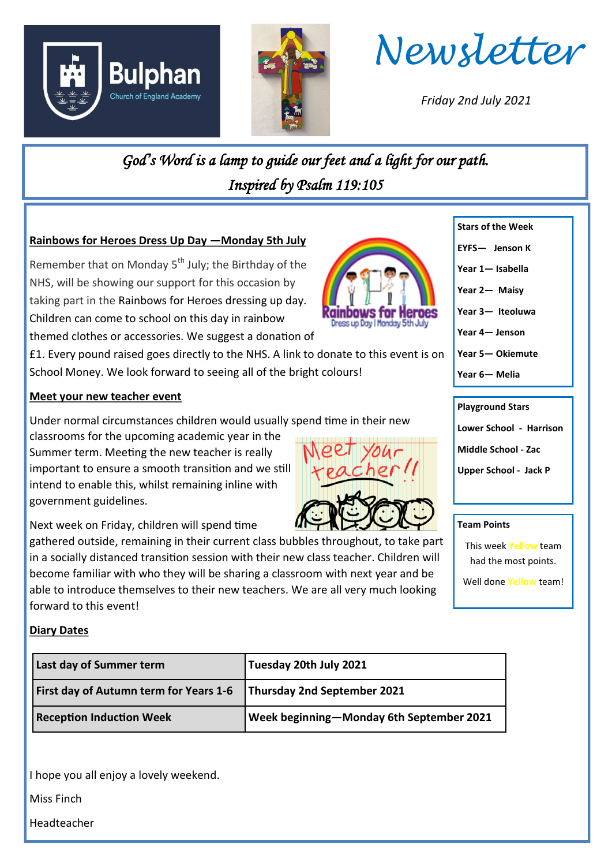





*Friday 2nd July 2021*

*God's Word is a lamp to guide our feet and a light for our path. Inspired by Psalm 119:105* 

## **Rainbows for Heroes Dress Up Day —Monday 5th July**

Remember that on Monday  $5<sup>th</sup>$  July; the Birthday of the NHS, will be showing our support for this occasion by taking part in the Rainbows for Heroes dressing up day. Children can come to school on this day in rainbow themed clothes or accessories. We suggest a donation of

£1. Every pound raised goes directly to the NHS. A link to donate to this event is on School Money. We look forward to seeing all of the bright colours!

## **Meet your new teacher event**

Under normal circumstances children would usually spend time in their new

classrooms for the upcoming academic year in the Summer term. Meeting the new teacher is really important to ensure a smooth transition and we still intend to enable this, whilst remaining inline with government guidelines.

Next week on Friday, children will spend time

gathered outside, remaining in their current class bubbles throughout, to take part in a socially distanced transition session with their new class teacher. Children will become familiar with who they will be sharing a classroom with next year and be able to introduce themselves to their new teachers. We are all very much looking forward to this event!

# **Diary Dates**

| Last day of Summer term                                            | Tuesday 20th July 2021                   |
|--------------------------------------------------------------------|------------------------------------------|
| First day of Autumn term for Years 1-6 Thursday 2nd September 2021 |                                          |
| <b>Reception Induction Week</b>                                    | Week beginning-Monday 6th September 2021 |

I hope you all enjoy a lovely weekend.

Miss Finch

Headteacher



- **Stars of the Week EYFS— Jenson K**
- **Year 1— Isabella**
- **Year 2— Maisy**
- **Year 3— Iteoluwa**
- **Year 4— Jenson**
- **Year 5— Okiemute**
- **Year 6— Melia**

## **Playground Stars**

**Lower School - Harrison**

**Middle School - Zac**

**Upper School - Jack P**

### **Team Points**

This week **Yellow** team had the most points.

Well done **Yellow** team!